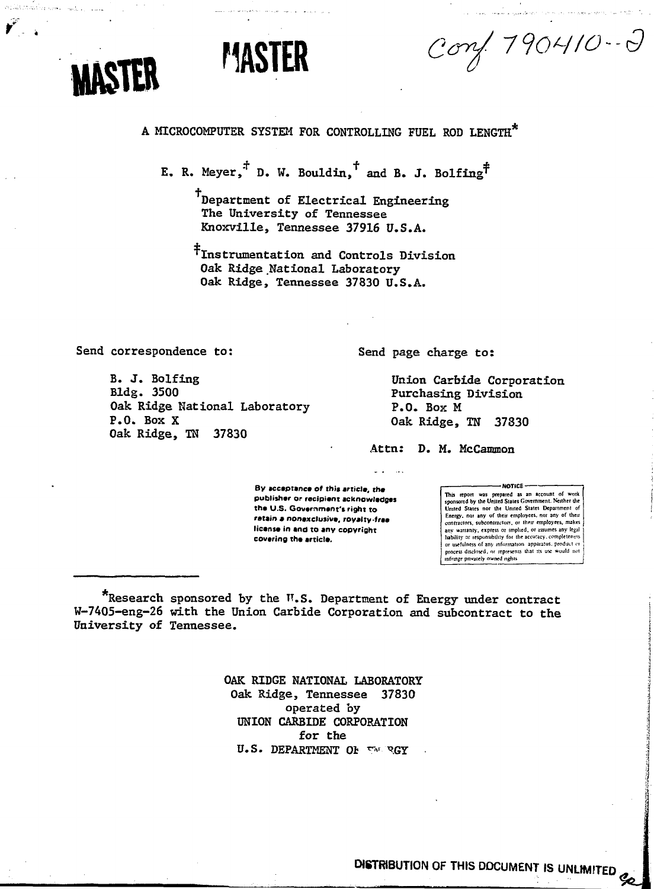

Atlatic artistical

Conf. 790410-2

# A MICROCOMPUTER SYSTEM FOR CONTROLLING FUEL ROD LENGTH

**MASTER**

E. R. Meyer,<sup> $\ddot{+}$ </sup> D. W. Bouldin,<sup> $\dagger$ </sup> and B. J. Bolfing<sup> $\ddot{\uparrow}$ </sup>

TDepartment of Electrical Engineering The University of Tennessee Knoxville, Tennessee 37916 U.S.A.

^Instrumentation and Controls Division Oak Ridge National Laboratory Oak Ridge, Tennessee 37830 U.S.A.

Send correspondence to:

B. J. Bolfing Bldg. 3500 Oak Ridge National Laboratory P.O. Box X Oak Ridge, TN 37830

Send page charge to:

Union Carbide Corporation Purchasing Division P.O. Box M Oak Ridge, TN 37330

Attn: D. M. McCanmon

**- NOTICE** -

This report was prepared as an account of work sponsored by the United Stales Government. Neither Ihe United States nor the United States Department of<br>Energy, nor any of their employees, nor any of their<br>contractors, subcontractors, or their employees, makes any warramy, express or implied, or assumes any legal liabilily or responsibility for the accuracy, completeness or usefulness of any information apparatus, product or process disclosed, or represents that its *ux* would no! infringe pnwafely owned rights

\*Research sponsored by the W.S. Department of Energy under contract W-7405-eng-26 with the Union Carbide Corporation and subcontract to the University of Tennessee.

**By acceptance of this article, the publisher or recipient acknowledges the U.S. Government's right to retain • nonexclusive, royalty-free license in and to any copyright**

**covering the article.**

OAK RIDGE NATIONAL LABORATORY Oak Ridge, Tennessee 37830 operated by UNION CARBIDE CORPORATION for the U.S. DEPARTMENT OF THE RGY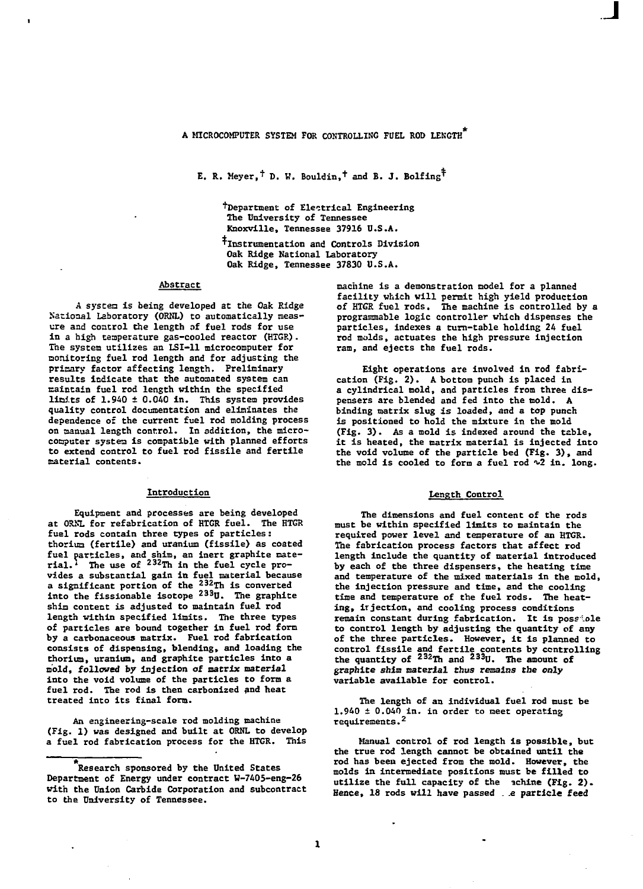**E. R. Meyer,<sup>†</sup> D. W. Bouldin,<sup>†</sup> and B. J. Bolfing<sup>†</sup>** 

**^Department of Electrical Engineering The University of Tennessee Knoxville, Tennessee 37916 U.S.A. •^Instrumentation and Controls Division Oak Ridge National Laboratory Oak Ridge, Tennessee 37830 U.S.A.**

### **Abstract**

**A syscen is being developed at the Oak Ridge National Laboratory (ORNL) to automatically measure and control the length of fuel rods for use in a high temperature gas-cooled reactor (HTGR). The system utilizes an LSI-11 microcomputer for monitoring fuel rod length and for adjusting the priaary factor affecting length. Preliminary results indicate that the automated system can maintain fuel rod length within the specified Units of 1.940 ± 0.040 in. This system provides quality control documentation and eliminates the dependence of the current fuel rod molding process on manual length control. In addition, the microcomputer system is compatible with planned efforts to extend control to fuel rod fissile and fertile material contents.**

#### **Introduction**

**Equipment and processes are being developed at ORSL for refabrication of HTGR fuel. The HTGR fuel rods contain three types of particles: thorium (fertile) and uranium (fissile) as coated fuel particles, and shim, an inert graphite mate-rial.<sup>4</sup> The use of <sup>232</sup> Th in the fuel cycle provides a substantial gain in fuel material because a significant portion of the <sup>232</sup> Th is converted into the fissionable isotope <sup>233</sup> U. The graphite shim content is adjusted to maintain fuel rod length within specified limits. The three types of particles are bound together in fuel rod form by a carbonaceous matrix. Fuel rod fabrication consists of dispensing, blending, and loading the thorium, uranium, and graphite particles into a mold, followed by injection of matrix material into the void volume of the particles to form a fuel rod. The rod is then carbonized and heat treated into its final form.**

**An engineering-scale rod molding machine (Fig. 1) was designed and built at ORNL to develop a fuel rod fabrication process for the HTGR. This**

**machine is a demonstration model for a planned facility which will permit high yield production of HTGR fuel rods. The machine is controlled by a programmable logic controller which dispenses the particles, indexes a turn-table holding 24 fuel rod molds, actuates the high pressure injection ram, and ejects the fuel rods.**

**Eight operations are involved in rod fabrication (Fig. 2). A bottom punch is placed in a cylindrical mold, and particles from three dispensers are blended and fed into the mold. A binding matrix slug is loaded, and a top punch is positioned to hold the mixture in the mold (Fig. 3). As a mold is indexed around the table, it is heated, the matrix material is injected into the void volume of the particle bed (Fig. 3) , and** the mold is cooled to form a fuel rod  $\sqrt{2}$  in. long.

### **Length Control**

**The dimensions and fuel content of the rods must be within specified limits to maintain the required power level and temperature of an HTGR. The fabrication process factors that affect rod length include the quantity of material Introduced by each of the three dispensers, the heating time and temperature of the mixed materials in the mold, the injection pressure and time, and the cooling tine and temperature of the fuel rods. The heating, irjection, and cooling process conditions remain constant during fabrication. It is poss .ole to control length by adjusting the quantity of any of the three particles. However, it is planned to control fissile and fertile contents by controlling the quantity of <sup>232</sup> Th and <sup>233</sup> U. The amount of graphite shim material thus remains the only variable available for control.**

**The length of an individual fuel rod must be 1.940 ± 0.040 in. in order to meet operating requirements.<sup>2</sup>**

**Manual control of rod length is possible, but the true rod length cannot be obtained until the rod has been ejected from the mold. However, the molds in intermediate positions must be filled to utilize the full capacity of the ?chine (Fig. 2) . Hence, 18 rods will have passed . .e particle feed**

**Research sponsored by the United States Department of Energy under contract W-7405-eng-26 with the Union Carbide Corporation and subcontract to the University of Tennessee.**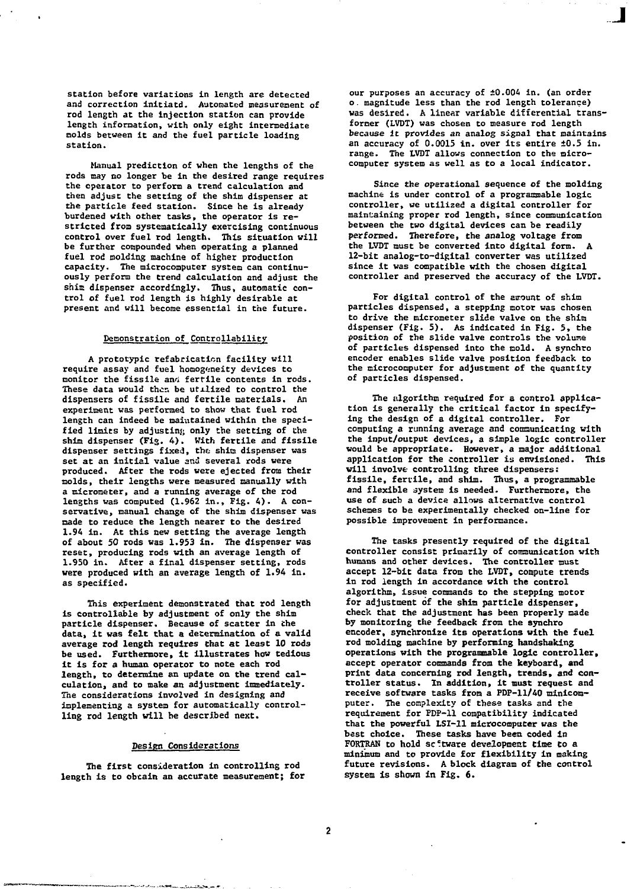**station before variations in length are detected and correction initiatd. Automated measurement of rod length at the injection station can provide length information, with only eight intermediate molds between it and the fuel particle loading station.**

**Manual prediction of when the lengths of the rods may no longer be in the desired range requires the operator to perform a trend calculation and then adjust the setting of the shim dispenser at the particle feed station. Since he is already burdened with other tasks, the operator is restricted from systematically exercising continuous control over fuel rod length. This situation will be further compounded when operating a planned fuel rod molding machine of higher production capacity. The microcomputer system can continuously perform the trend calculation and adjust the shim dispenser accordingly. Thus, automatic control of fuel rod length is highly desirable at present and will become essential in the future.**

# **Demonstration of Controllability**

**A prototypic refabricaticn facility will require assay and fuel homogeneity devices to monitor the fissile anri fertile contents in rods. These data would then be utilized to control the dispensers of fissile and fertile materials. An experiment was performed to show that fuel rod length can indeed be maintained within the specified limits by adjusting only the setting of the shim dispenser (Fig. 4). With fertile and fissile dispenser settings fixed, ths shin dispenser was set at an initial value and several rods were produced. After the rods were ejected from their molds, their lengths were measured manually with a micrometer, and a running average of the rod lengths was computed (1.962 in., Fig. 4). A conservative, manual change of the shim dispenser was made to reduce the length nearer to the desired 1.94 in. At this new setting the average length of about 50 rods was 1.953 in. The dispenser was reset, producing rods with an average length of 1.950 in. After a final dispenser setting, rods were produced with an average length of 1.94 in. as specified.**

**This experiment demonstrated that rod length is controllable by adjustment of only the shim particle dispenser. Because of scatter in Che data, it was felt that a determination of a valid average rod length requires that at least 10 rods be used. Furthermore, it illustrates how tedious it is for a human operator to note each rod length, to determine an update on the trend calculation, and to make an adjustment immediately. The considerations involved in designing and implementing a system for automatically controlling rod length will be described next.**

### **Design Considerations**

**The first consideration in controlling rod length is to obtain an accurate measurement; for** **our purposes an accuracy of ±0.004 in. (an order o. magnitude less than the rod length tolerance) was desired. A linear variable differential transformer (LVDT) was chosen to measure rod length because it provides an analog signal that maintains an accuracy of 0.0015 in. over its entire ±0.5 in. range. The LVDT allows connection to the microcomputer system as well as to a local indicator.**

**Since the operational sequence of the molding machine is under control of a programmable logic controller, we utilized a digital controller for maintaining proper rod length, since communication between the two digital devices can be readily performed. Therefore, the analog voltage from the LVDT must be converted into digital form. A 12-bit analog-to-digital converter was utilized since it was compatible with the chosen digital controller and preserved the accuracy of the LVDT.**

**For digital control of the amount of shim particles dispensed, a stepping motor was chosen to drive the micrometer slide valve on the shim dispenser (Fig. 5). As indicated in Fig. 5, the position of the slide valve controls the volume of particles dispensed into the mold. A synchro encoder enables slide valve position feedback to the microcomputer for adjustment of the quantity of particles dispensed.**

**The algorithm required for a control application is generally the critical factor in specifying the design of a digital controller. For computing a running average and communicating with the input/output devices, a simple logic controller would be appropriate. However, a major additional application for the controller is envisioned. This will involve controlling three dispensers: fissile, fertile, and shim. Thus, a programmable and flexible system is needed. Furthermore, the use of such a device allows alternative control schemes to be experimentally checked on-line for possible improvement in performance.**

**The tasks presently required of the digital controller consist primarily of communication with humans and other devices. The controller must accept 12-bit data from the LVDT, compute trends in rod length in accordance with the control algorithm, issue commands to the stepping motor for adjustment of the shim particle dispenser, check that the adjustment has been properly made by monitoring the feedback from the synchro encoder, synchronize its operations with the fuel rod molding machine by performing handshaking operations with the programmable logic controller, accept operator commands from the keyboard, and print data concerning rod length, trends, and controller status. In addition, it must request and receive software tasks from a PDP-11/40 minicomputer. The complexity of these tasks and the requirement for PDP-11 compatibility indicated that the powerful LSI-11 microcomputer was the best choice. These tasks have been coded in FORTRAN to hold sc°tware development time to a minimum and to provide for flexibility in making future revisions. A block diagram of the control system is shown in Fig. 6.**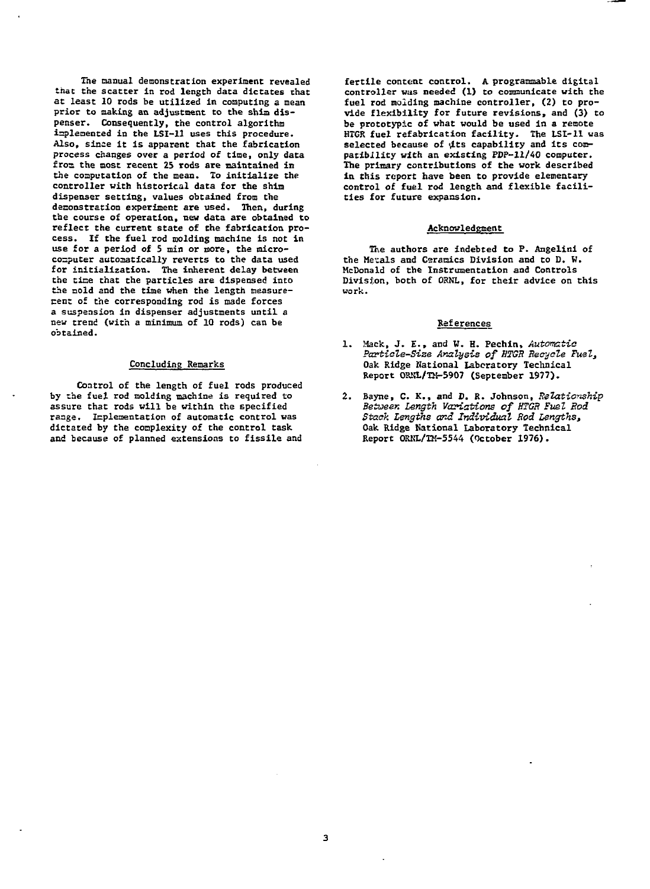**The manual demonstration experiment revealed that the scatter in rod length data dictates that at least 10 rods be utilized in computing a mean prior to making an adjustment to the shim dispenser. Consequently, the control algorithm implemented in the LSI-11 uses this procedure. Also, since it is apparent that the fabrication process changes over a period of time, only data f roa the most recent 25 rods are maintained in the computation of the mean. To initialize the controller with historical data for the shim dispenser setting, values obtained from the deconsfration experiment are used. Then, during the course of operation, new data are obtained to** reflect the current state of the fabrication pro**cess. If the fuel rod molding machine is not in use for a period of 5 min or more, the microcomputer automatically reverts to the data used for initialization. The inherent delay between the time that the particles are dispensed into the nold and the tine when the length measurerent of the corresponding rod is made forces a suspension in dispenser adjustments until a neu trend (with a minimum of 10 rods) can be obtained.**

### **Concluding Remarks**

**Control of the length of fuel rods produced by the fuel rod molding machine is required to assure that rods will be within the specified range. Icpleaentation of automatic control was dictated by the complexity of the control task and because of planned extensions to fissile and**

**fertile content control. A programmable digital controller was needed (1) to communicate with the fuel rod molding machine controller, (2) to provide flexibility for future revisions, and (3) to be prototypic of what would be used in a remote HTGR fuel refabrication facility. The LSI-11 was** selected because of *u*ts capability and its com**patibility with an existing PDP-11/40 computer. The primary contributions of the work described in this report have been to provide elementary control of fuel rod length and flexible facilities for future expansion.**

## **Acknowledgment**

**The authors are indebted to P. Angelini of the Me'cals and Ceramics Division and to D. W. McDonald of the Instrumentation and Controls Division, both of ORNL, for their advice on this work.**

# References

- Mack, J. E., and *V.* H. Pechin, *Automatic Particle-Size Analysis of HTGR Recycle Fuel,* Oak Ridge National Laboratory Technical Report ORNL/TM-5907 (September 1977).
- Bayne, C. K., and D. R. Johnson, *Relationship* 2. *Betueen Length Variations of HTGR Fuel Rod Stack Lsngths and Individual Rod Lengths,* Oak Ridge National Laboratory Technical Report OKKL/TM-5544 (October 1976).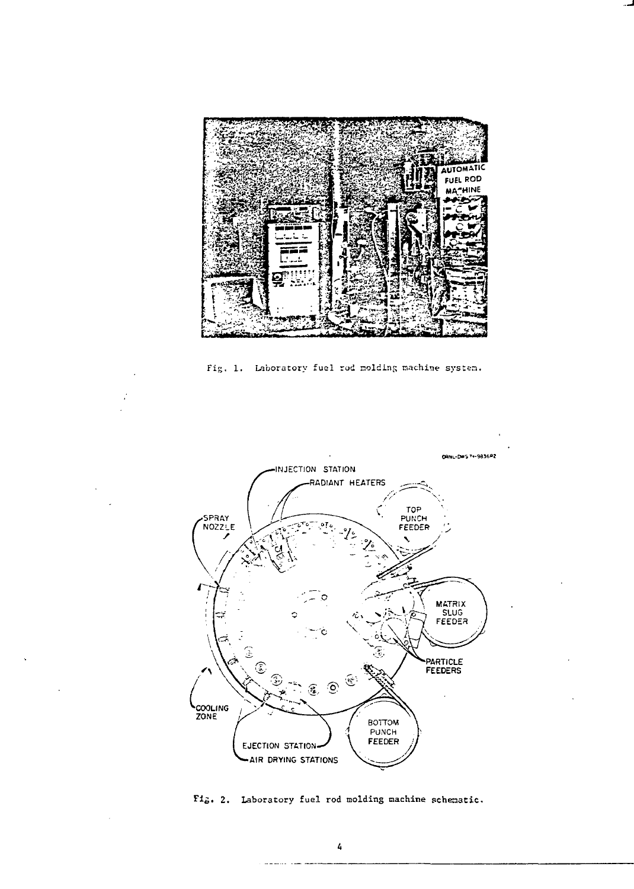

Fig. 1. Laboratory fuel rod molding machine system.



Fig. 2. Laboratory fuel rod molding machine schematic.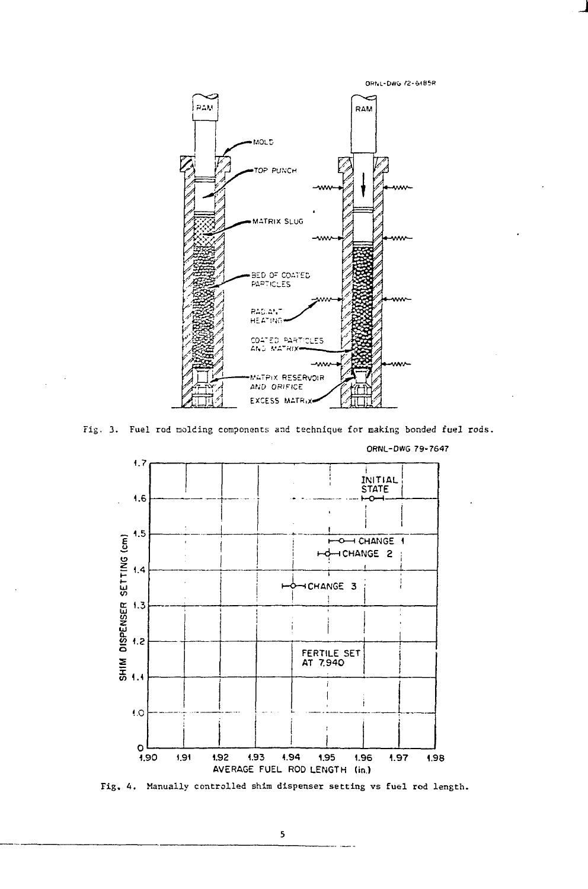



Fig. 3. Fuel rod molding components and technique for making bonded fuel rods.



Fig, A. Manually controlled shim dispenser setting vs fuel rod length.

5